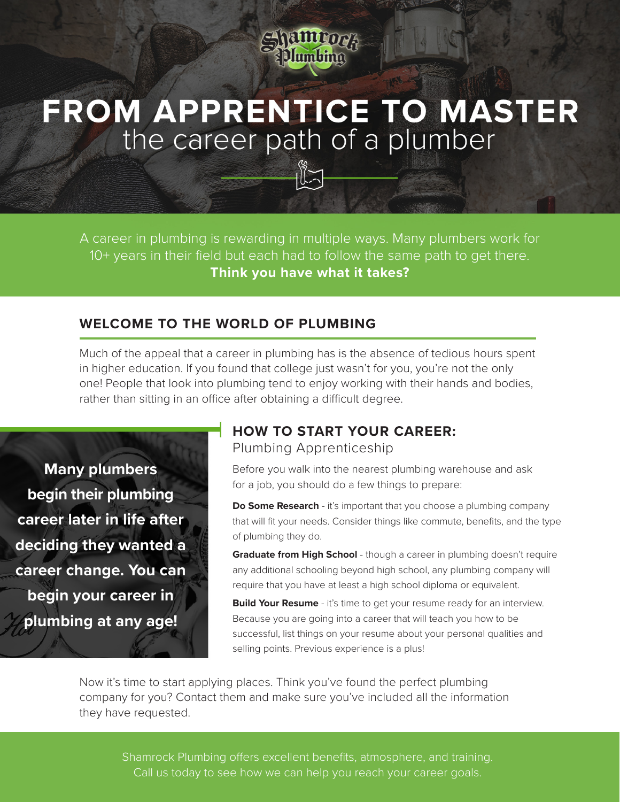

# **FROM APPRENTICE TO MASTER** the career path of a plumber

A career in plumbing is rewarding in multiple ways. Many plumbers work for 10+ years in their field but each had to follow the same path to get there. **Think you have what it takes?**

## **WELCOME TO THE WORLD OF PLUMBING**

Much of the appeal that a career in plumbing has is the absence of tedious hours spent in higher education. If you found that college just wasn't for you, you're not the only one! People that look into plumbing tend to enjoy working with their hands and bodies, rather than sitting in an office after obtaining a difficult degree.

**Many plumbers begin their plumbing career later in life after deciding they wanted a career change. You can begin your career in plumbing at any age!**

# **HOW TO START YOUR CAREER:**

Plumbing Apprenticeship

Before you walk into the nearest plumbing warehouse and ask for a job, you should do a few things to prepare:

**Do Some Research** - it's important that you choose a plumbing company that will fit your needs. Consider things like commute, benefits, and the type of plumbing they do.

**Graduate from High School** - though a career in plumbing doesn't require any additional schooling beyond high school, any plumbing company will require that you have at least a high school diploma or equivalent.

**Build Your Resume** - it's time to get your resume ready for an interview. Because you are going into a career that will teach you how to be successful, list things on your resume about your personal qualities and selling points. Previous experience is a plus!

Now it's time to start applying places. Think you've found the perfect plumbing company for you? Contact them and make sure you've included all the information they have requested.

Shamrock Plumbing offers excellent benefits, atmosphere, and training. Call us today to see how we can help you reach your career goals.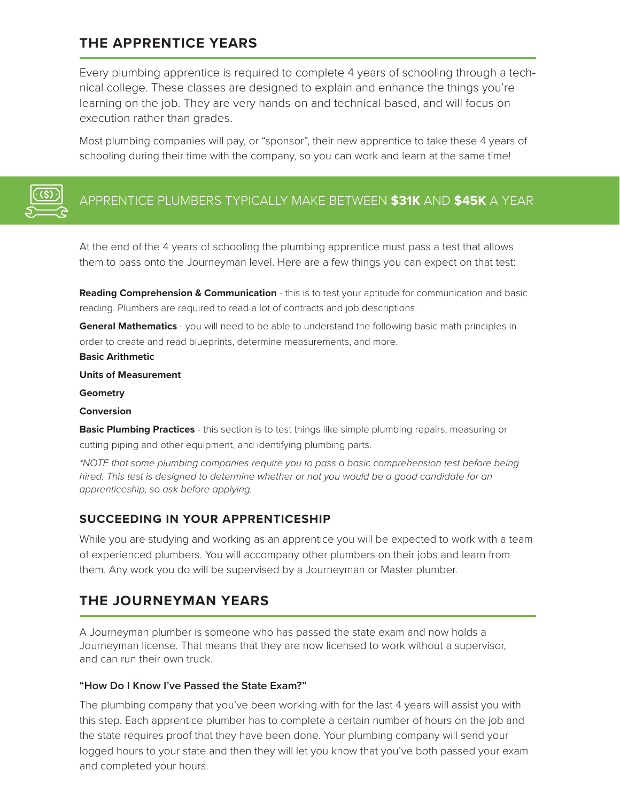# **THE APPRENTICE YEARS**

Every plumbing apprentice is required to complete 4 years of schooling through a technical college. These classes are designed to explain and enhance the things you're learning on the job. They are very hands-on and technical-based, and will focus on execution rather than grades.

Most plumbing companies will pay, or "sponsor", their new apprentice to take these 4 years of schooling during their time with the company, so you can work and learn at the same time!



# APPRENTICE PLUMBERS TYPICALLY MAKE BETWEEN **\$31K** AND **\$45K** A YEAR

At the end of the 4 years of schooling the plumbing apprentice must pass a test that allows them to pass onto the Journeyman level. Here are a few things you can expect on that test:

**Reading Comprehension & Communication - this is to test your aptitude for communication and basic** reading. Plumbers are required to read a lot of contracts and job descriptions.

**General Mathematics** - you will need to be able to understand the following basic math principles in order to create and read blueprints, determine measurements, and more.

#### **Basic Arithmetic**

#### **Units of Measurement**

**Geometry**

#### **Conversion**

**Basic Plumbing Practices** - this section is to test things like simple plumbing repairs, measuring or cutting piping and other equipment, and identifying plumbing parts.

*\*NOTE that some plumbing companies require you to pass a basic comprehension test before being hired. This test is designed to determine whether or not you would be a good candidate for an apprenticeship, so ask before applying.*

## **SUCCEEDING IN YOUR APPRENTICESHIP**

While you are studying and working as an apprentice you will be expected to work with a team of experienced plumbers. You will accompany other plumbers on their jobs and learn from them. Any work you do will be supervised by a Journeyman or Master plumber.

# **THE JOURNEYMAN YEARS**

A Journeyman plumber is someone who has passed the state exam and now holds a Journeyman license. That means that they are now licensed to work without a supervisor, and can run their own truck.

#### **"How Do I Know I've Passed the State Exam?"**

The plumbing company that you've been working with for the last 4 years will assist you with this step. Each apprentice plumber has to complete a certain number of hours on the job and the state requires proof that they have been done. Your plumbing company will send your logged hours to your state and then they will let you know that you've both passed your exam and completed your hours.